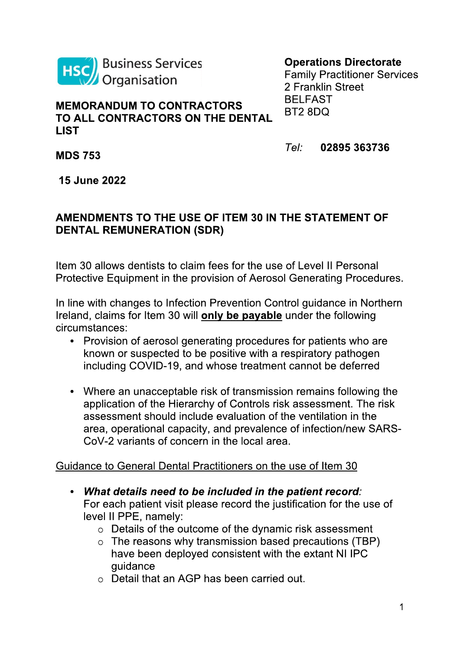

## **Operations Directorate**

Family Practitioner Services 2 Franklin Street BELFAST BT2 8DQ

## **MEMORANDUM TO CONTRACTORS TO ALL CONTRACTORS ON THE DENTAL LIST**

*Tel:* **02895 363736**

**MDS 753**

**15 June 2022**

## **AMENDMENTS TO THE USE OF ITEM 30 IN THE STATEMENT OF DENTAL REMUNERATION (SDR)**

Item 30 allows dentists to claim fees for the use of Level II Personal Protective Equipment in the provision of Aerosol Generating Procedures.

In line with changes to Infection Prevention Control guidance in Northern Ireland, claims for Item 30 will **only be payable** under the following circumstances:

- Provision of aerosol generating procedures for patients who are known or suspected to be positive with a respiratory pathogen including COVID-19, and whose treatment cannot be deferred
- Where an unacceptable risk of transmission remains following the application of the Hierarchy of Controls risk assessment. The risk assessment should include evaluation of the ventilation in the area, operational capacity, and prevalence of infection/new SARS-CoV-2 variants of concern in the local area.

## Guidance to General Dental Practitioners on the use of Item 30

- *What details need to be included in the patient record:* For each patient visit please record the justification for the use of level II PPE, namely:
	- o Details of the outcome of the dynamic risk assessment
	- $\circ$  The reasons why transmission based precautions (TBP) have been deployed consistent with the extant NI IPC guidance
	- o Detail that an AGP has been carried out.